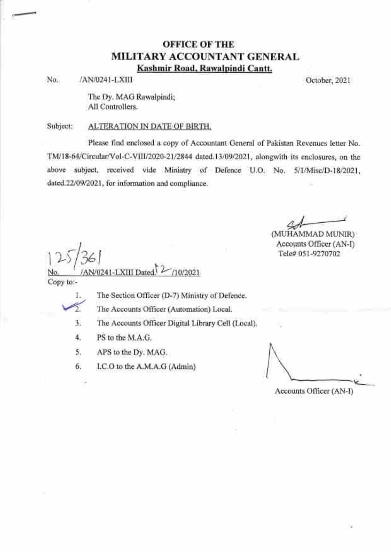### OFFICE OF THE MILITARY ACCOUNTANT GENERAL Kashmir Road. Rawalpindi Cantt.

No. /AN/0241-LXIII October, 2021

The Dy. MAG Rawalpindi; All Controllers.

Subject: ALTERATION IN DATE OF BIRTH.

Please find enclosed a copy of Accountant General of Pakistan Revenues letter No. TM/18-64/Circular/Vol-C-VIII/2020-21/2844 dated.13/09/2021, alongwith its enclosures, on the above subject, received vide Ministry of Defence U.O. No. 5/1/Misc/D-18/2021, dated.22/09/2021, for information and compliance.

(MUHAMMAD MUNIR) Accounts Officer (AN-I) Tele# 051-9270702

I /AN/0241-LXIII Dated. 2 /10/2021

Copy to:-

I 4

The Section Officer (D-7) Ministry of Defence.

The Accounts Officer (Automation) Local.

The Accounts Officer Digital Library Cell (Local). 3.

PS to the M.A.G. 4.

APS to the Dy. MAG. 5.

LC.O to the A.M.A.G (Admin) 6.

Accounts Officer (AN-I)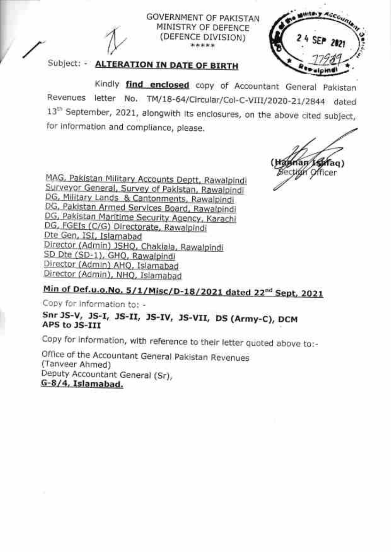### **GOVERNMENT OF PAKISTAN** MINISTRY OF DEFENCE (DEFENCE DIVISION) \*\*\*\*\*



# Subject: - **ALTERATION IN DATE OF BIRTH**

Kindly find enclosed copy of Accountant General Pakistan Revenues letter No. TM/18-64/Circular/Col-C-VIII/2020-21/2844 dated 13<sup>th</sup> September, 2021, alongwith its enclosures, on the above cited subject, for information and compliance, please.

ficer

MAG, Pakistan Military Accounts Deptt, Rawalpindi Surveyor General, Survey of Pakistan, Rawalpindi DG, Military Lands & Cantonments, Rawalpindi DG, Pakistan Armed Services Board, Rawalpindi DG, Pakistan Maritime Security Agency, Karachi DG, FGEIs (C/G) Directorate, Rawalpindi Dte Gen, ISI, Islamabad Director (Admin) ISHQ, Chaklala, Rawalpindi SD Dte (SD-1), GHQ, Rawalpindi Director (Admin) AHQ, Islamabad Director (Admin), NHQ, Islamabad

# Min of Def.u.o.No. 5/1/Misc/D-18/2021 dated 22<sup>nd</sup> Sept, 2021

Copy for information to: -

### Snr JS-V, JS-I, JS-II, JS-IV, JS-VII, DS (Army-C), DCM APS to JS-III

Copy for information, with reference to their letter quoted above to:-

Office of the Accountant General Pakistan Revenues (Tanveer Ahmed) Deputy Accountant General (Sr), G-8/4, Islamabad.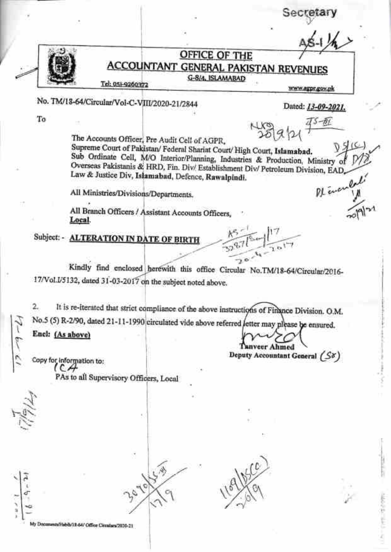OFFICE OF THE **ACCOUNTANT GENERAL PAKISTAN REVENUES** G-8/4, ISLAMABAD Tel: 051-9260372 www.agpr.gov.pk No. TM/13-64/Circular/Vol-C-VIII/2020-21/2844 Dated: 13-09-2021. To The Accounts Officer, Pre Audit Cell of AGPR, Supreme Court of Pakistan/ Federal Shariat Court/ High Court, Islamabad. Sub Ordinate Cell, M/O Interior/Planning, Industries & Production, Ministry of Overseas Pakistanis & HRD, Fin. Div/ Establishment Div/ Petroleum Division, EAD, Law & Justice Div, Islamabad, Defence, Rawalpindi.  $PL = \frac{p_1 p_2 p_3 p_4 p_5 p_6 p_7 p_6 p_7 p_7 p_8 p_9 p_9 p_1 p_1 p_2 p_3 p_4 p_5 p_6 p_6 p_7 p_7 p_8 p_9 p_1 p_2 p_3 p_4 p_5 p_6 p_7 p_7 p_8 p_8 p_9 p_9 p_1 p_2 p_3 p_4 p_5 p_6 p_7 p_8 p_8 p_9 p_9 p_1 p_2 p_3 p_4 p_5 p_6 p_7 p_8 p_8 p_9 p_9 p_1 p_2 p_6 p_6 p_7 p_8 p_9 p_9 p_1 p_2 p_6 p_6 p_$ All Ministries/Divisions/Departments. All Branch Officers / Assistant Accounts Officers, Local. Subject: ALTERATION IN DATE OF BIRTH Kindly find enclosed herewith this office Circular No.TM/18-64/Circular/2016-17/Vol.I/5132, dated 31-03-2017 on the subject noted above. It is re-iterated that strict compliance of the above instructions of Finance Division. O.M.  $\overline{2}$ No.5 (5) R-2/90, dated 21-11-1990 circulated vide above referred letter may please be ensured. Encl: (As above) nveer Ahmed Deputy Accountant General (S8) Copy for information to:  $cc$   $4$ PAs to all Supervisory Officers, Local

My Documents/Hebib/13-64/ Office Circulars/2010-21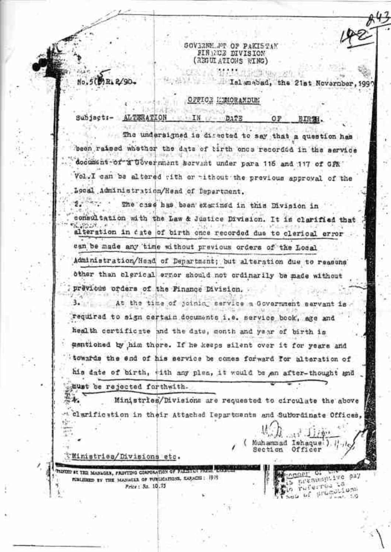#### GOVERNE FT OF PAKISTAN FINANCE DIVISION (REGULATIONS WING)

No.5(0)R.2/90.

Islamabad, the 21st November, 1999

**STEERING REP** 

#### OFFICE MEMORANDUM

Subjact:- ALTERATION IN THE DATE OP BIRTH.

The undersigned is directed to say that a question has been raised whether the date of tirth ones recorded in the service document of a Uovernment hervant under para 116 and 117 of GFR Vol.I can be altered with or without the previous approval of the Local Administration/Head of Department.

gunean a The case has been exacined in this Division in consultation with the Law & Justice Division. It is clarified that alteration in date of birth once recorded due to clerical error

can be made any time without previous orders of the Local Administration/Head of Department; but alteration due to reasung other than clerical ernor should not ordinarily be made without previous orders of the Finance Division.

3. At the time of joining service a Government servant is required to sign certain documents i.e. service book, age and health certificate and the date, month and year of birth is centioned by him there. If he keeps silent over it for years and towards the end of his service be comes forward for alteration of his date of birth, tith any plea, it would be an after-thought and

must be rejected forthwith.

Ministries/Divisions are requested to circulate the above " clarification in their Attached Iepartments and Subbreinate Offices.

### Winistriea/Divisions etc.

TRINING OF THE MANAGER, PROFITING CORPORATION OF PARTIES FARM AND THE RELENSED BY THE MANAGER OF PURLICATIONS, SARACHI : 1975 Price: St. 10.75

turesumptive pay **Arcolit** Tuterrou to i Se sets of promotions

Muhammad Ishaque ) Section Officer